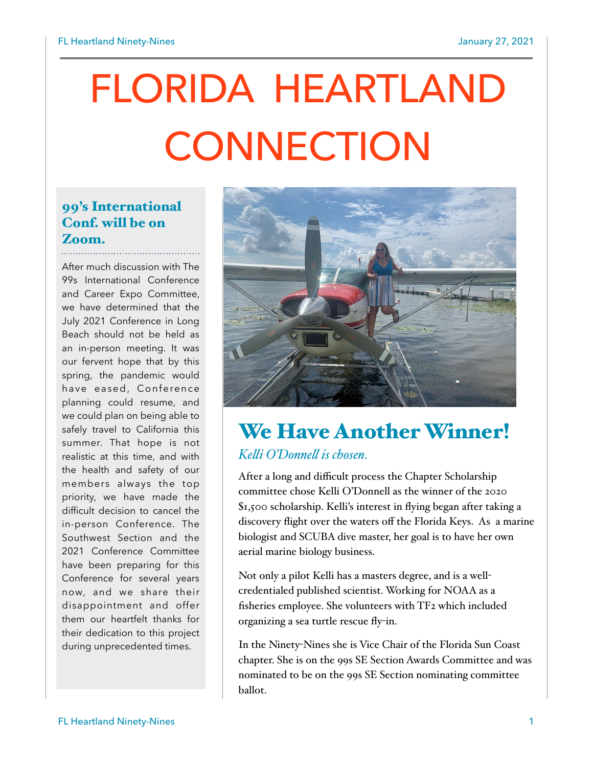# FLORIDA HEARTLAND **CONNECTION**

#### 99's International Conf. will be on Zoom.

After much discussion with The 99s International Conference and Career Expo Committee, we have determined that the July 2021 Conference in Long Beach should not be held as an in-person meeting. It was our fervent hope that by this spring, the pandemic would have eased, Conference planning could resume, and we could plan on being able to safely travel to California this summer. That hope is not realistic at this time, and with the health and safety of our members always the top priority, we have made the difficult decision to cancel the in-person Conference. The Southwest Section and the 2021 Conference Committee have been preparing for this Conference for several years now, and we share their disappointment and offer them our heartfelt thanks for their dedication to this project during unprecedented times.



### We Have Another Winner! *Keli O'Donnel is chosen.*

After a long and difficult process the Chapter Scholarship committee chose Kelli O'Donnell as the winner of the 2020 \$1,500 scholarship. Kelli's interest in flying began after taking a discovery flight over the waters off the Florida Keys. As a marine biologist and SCUBA dive master, her goal is to have her own aerial marine biology business.

Not only a pilot Kelli has a masters degree, and is a wellcredentialed published scientist. Working for NOAA as a fisheries employee. She volunteers with TF2 which included organizing a sea turtle rescue fly-in.

In the Ninety-Nines she is Vice Chair of the Florida Sun Coast chapter. She is on the 99s SE Section Awards Committee and was nominated to be on the 99s SE Section nominating committee ballot.